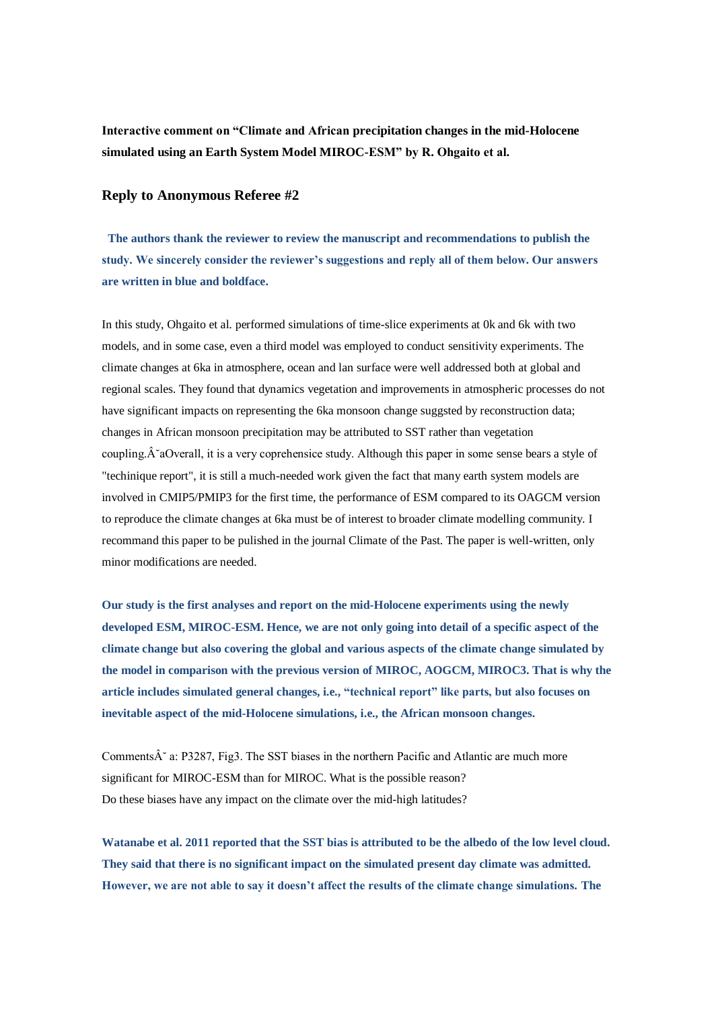**Interactive comment on "Climate and African precipitation changes in the mid-Holocene simulated using an Earth System Model MIROC-ESM" by R. Ohgaito et al.**

## **Reply to Anonymous Referee #2**

**The authors thank the reviewer to review the manuscript and recommendations to publish the study. We sincerely consider the reviewer's suggestions and reply all of them below. Our answers are written in blue and boldface.**

In this study, Ohgaito et al. performed simulations of time-slice experiments at 0k and 6k with two models, and in some case, even a third model was employed to conduct sensitivity experiments. The climate changes at 6ka in atmosphere, ocean and lan surface were well addressed both at global and regional scales. They found that dynamics vegetation and improvements in atmospheric processes do not have significant impacts on representing the 6ka monsoon change suggsted by reconstruction data; changes in African monsoon precipitation may be attributed to SST rather than vegetation coupling. $\hat{A}^{\dagger}$ aOverall, it is a very coprehensice study. Although this paper in some sense bears a style of "techinique report", it is still a much-needed work given the fact that many earth system models are involved in CMIP5/PMIP3 for the first time, the performance of ESM compared to its OAGCM version to reproduce the climate changes at 6ka must be of interest to broader climate modelling community. I recommand this paper to be pulished in the journal Climate of the Past. The paper is well-written, only minor modifications are needed.

**Our study is the first analyses and report on the mid-Holocene experiments using the newly developed ESM, MIROC-ESM. Hence, we are not only going into detail of a specific aspect of the climate change but also covering the global and various aspects of the climate change simulated by the model in comparison with the previous version of MIROC, AOGCM, MIROC3. That is why the article includes simulated general changes, i.e., "technical report" like parts, but also focuses on inevitable aspect of the mid-Holocene simulations, i.e., the African monsoon changes.**

Comments $\hat{A}^2$  a: P3287, Fig3. The SST biases in the northern Pacific and Atlantic are much more significant for MIROC-ESM than for MIROC. What is the possible reason? Do these biases have any impact on the climate over the mid-high latitudes?

**Watanabe et al. 2011 reported that the SST bias is attributed to be the albedo of the low level cloud. They said that there is no significant impact on the simulated present day climate was admitted. However, we are not able to say it doesn't affect the results of the climate change simulations. The**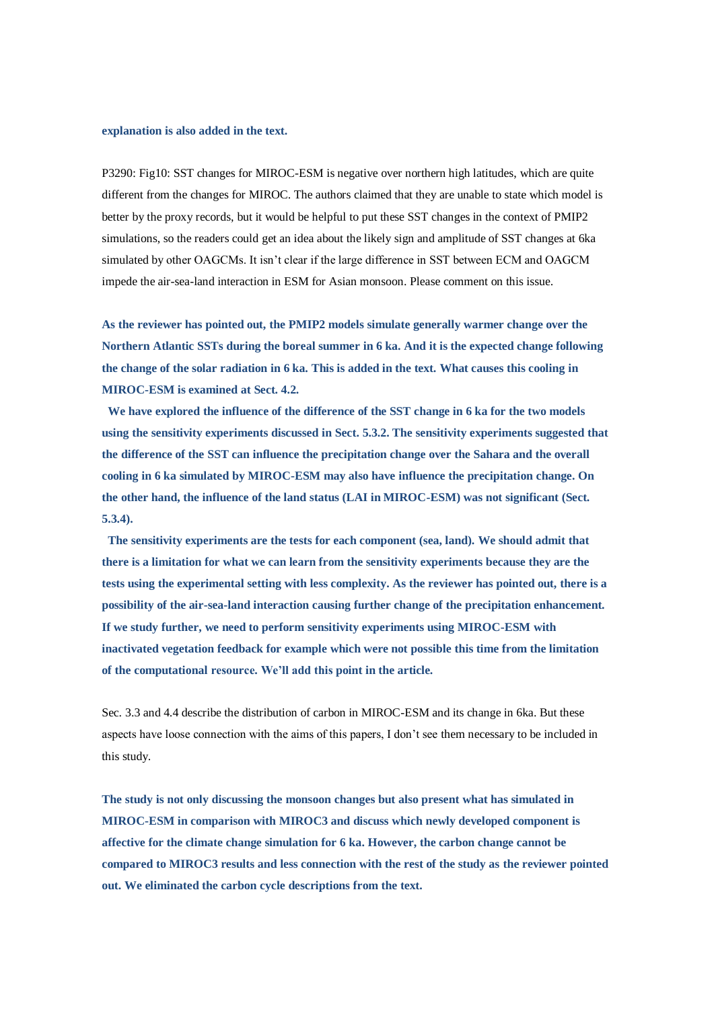## **explanation is also added in the text.**

P3290: Fig10: SST changes for MIROC-ESM is negative over northern high latitudes, which are quite different from the changes for MIROC. The authors claimed that they are unable to state which model is better by the proxy records, but it would be helpful to put these SST changes in the context of PMIP2 simulations, so the readers could get an idea about the likely sign and amplitude of SST changes at 6ka simulated by other OAGCMs. It isn't clear if the large difference in SST between ECM and OAGCM impede the air-sea-land interaction in ESM for Asian monsoon. Please comment on this issue.

**As the reviewer has pointed out, the PMIP2 models simulate generally warmer change over the Northern Atlantic SSTs during the boreal summer in 6 ka. And it is the expected change following the change of the solar radiation in 6 ka. This is added in the text. What causes this cooling in MIROC-ESM is examined at Sect. 4.2.**

**We have explored the influence of the difference of the SST change in 6 ka for the two models using the sensitivity experiments discussed in Sect. 5.3.2. The sensitivity experiments suggested that the difference of the SST can influence the precipitation change over the Sahara and the overall cooling in 6 ka simulated by MIROC-ESM may also have influence the precipitation change. On the other hand, the influence of the land status (LAI in MIROC-ESM) was not significant (Sect. 5.3.4).**

**The sensitivity experiments are the tests for each component (sea, land). We should admit that there is a limitation for what we can learn from the sensitivity experiments because they are the tests using the experimental setting with less complexity. As the reviewer has pointed out, there is a possibility of the air-sea-land interaction causing further change of the precipitation enhancement. If we study further, we need to perform sensitivity experiments using MIROC-ESM with inactivated vegetation feedback for example which were not possible this time from the limitation of the computational resource. We'll add this point in the article.**

Sec. 3.3 and 4.4 describe the distribution of carbon in MIROC-ESM and its change in 6ka. But these aspects have loose connection with the aims of this papers, I don't see them necessary to be included in this study.

**The study is not only discussing the monsoon changes but also present what has simulated in MIROC-ESM in comparison with MIROC3 and discuss which newly developed component is affective for the climate change simulation for 6 ka. However, the carbon change cannot be compared to MIROC3 results and less connection with the rest of the study as the reviewer pointed out. We eliminated the carbon cycle descriptions from the text.**